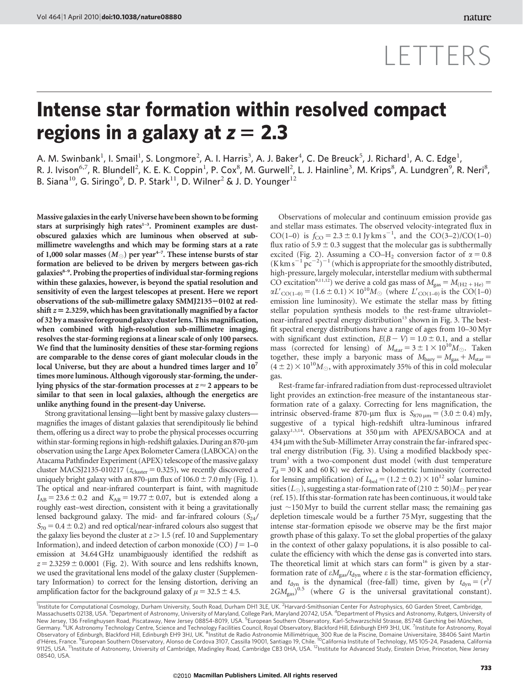## LETTERS

## Intense star formation within resolved compact regions in a galaxy at  $z = 2.3$

A. M. Swinbank $^1$ , I. Smail $^1$ , S. Longmore $^2$ , A. I. Harris $^3$ , A. J. Baker $^4$ , C. De Breuck $^5$ , J. Richard $^1$ , A. C. Edge $^1$ , R. J. Ivison<sup>6,7</sup>, R. Blundell<sup>2</sup>, K. E. K. Coppin<sup>1</sup>, P. Cox<sup>8</sup>, M. Gurwell<sup>2</sup>, L. J. Hainline<sup>3</sup>, M. Krips<sup>8</sup>, A. Lundgren<sup>9</sup>, R. Neri<sup>8</sup>, B. Siana<sup>10</sup>, G. Siringo<sup>9</sup>, D. P. Stark<sup>11</sup>, D. Wilner<sup>2</sup> & J. D. Younger<sup>12</sup>

Massive galaxiesin the early Universe have been shown to be forming stars at surprisingly high rates $1-3$ . Prominent examples are dustobscured galaxies which are luminous when observed at submillimetre wavelengths and which may be forming stars at a rate of 1,000 solar masses  $(M_{\odot})$  per year<sup>4-7</sup>. These intense bursts of star formation are believed to be driven by mergers between gas-rich  $galaxies<sup>8-9</sup>$ . Probing the properties of individual star-forming regions within these galaxies, however, is beyond the spatial resolution and sensitivity of even the largest telescopes at present. Here we report observations of the sub-millimetre galaxy  $SMM$ [2135 $-0102$  at redshift  $z = 2.3259$ , which has been gravitationally magnified by a factor of 32 by amassive foreground galaxy clusterlens. This magnification, when combined with high-resolution sub-millimetre imaging, resolves the star-forming regions at a linear scale of only 100 parsecs. We find that the luminosity densities of these star-forming regions are comparable to the dense cores of giant molecular clouds in the local Universe, but they are about a hundred times larger and  $10<sup>7</sup>$ times more luminous. Although vigorously star-forming, the underlying physics of the star-formation processes at  $z \approx 2$  appears to be similar to that seen in local galaxies, although the energetics are unlike anything found in the present-day Universe.

Strong gravitational lensing—light bent by massive galaxy clusters magnifies the images of distant galaxies that serendipitously lie behind them, offering us a direct way to probe the physical processes occurring within star-forming regions in high-redshift galaxies. During an 870-µm observation using the Large Apex Bolometer Camera (LABOCA) on the Atacama Pathfinder Experiment (APEX) telescope of the massive galaxy cluster MACSJ2135-010217 ( $z_{cluster} = 0.325$ ), we recently discovered a uniquely bright galaxy with an 870-µm flux of  $106.0 \pm 7.0$  mJy (Fig. 1). The optical and near-infrared counterpart is faint, with magnitude  $I_{AB} = 23.6 \pm 0.2$  and  $K_{AB} = 19.77 \pm 0.07$ , but is extended along a roughly east–west direction, consistent with it being a gravitationally lensed background galaxy. The mid- and far-infrared colours  $(S_{24}/S_{24})$  $S_{70} = 0.4 \pm 0.2$ ) and red optical/near-infrared colours also suggest that the galaxy lies beyond the cluster at  $z > 1.5$  (ref. 10 and Supplementary Information), and indeed detection of carbon monoxide (CO)  $I = 1-0$ emission at 34.64 GHz unambiguously identified the redshift as  $z = 2.3259 \pm 0.0001$  (Fig. 2). With source and lens redshifts known, we used the gravitational lens model of the galaxy cluster (Supplementary Information) to correct for the lensing distortion, deriving an amplification factor for the background galaxy of  $\mu = 32.5 \pm 4.5$ .

Observations of molecular and continuum emission provide gas and stellar mass estimates. The observed velocity-integrated flux in CO(1–0) is  $f_{\text{CO}} = 2.3 \pm 0.1 \text{ Jy km s}^{-1}$ , and the CO(3–2)/CO(1–0) flux ratio of  $5.9 \pm 0.3$  suggest that the molecular gas is subthermally excited (Fig. 2). Assuming a CO–H<sub>2</sub> conversion factor of  $\alpha = 0.8$  $(K \, \text{km s}^{-1} \, \text{pc}^{-2})^{-1}$  (which is appropriate for the smoothly distributed, high-pressure, largely molecular, interstellar medium with subthermal CO excitation<sup>9,11,12</sup>) we derive a cold gas mass of  $M_{gas} = M_{\text{(H2 + He)}} =$  $\alpha L'_{\text{CO}(1-0)} = (1.6 \pm 0.1) \times 10^{10} M_{\odot}$  (where  $L'_{\text{CO}(1-0)}$  is the CO(1–0) emission line luminosity). We estimate the stellar mass by fitting stellar population synthesis models to the rest-frame ultraviolet– near-infrared spectral energy distribution<sup>13</sup> shown in Fig. 3. The bestfit spectral energy distributions have a range of ages from 10–30 Myr with significant dust extinction,  $E(B - V) = 1.0 \pm 0.1$ , and a stellar mass (corrected for lensing) of  $M_{\text{star}} = 3 \pm 1 \times 10^{10} M_{\odot}$ . Taken together, these imply a baryonic mass of  $M_{\text{bary}} = M_{\text{gas}} + M_{\text{star}} =$  $(4 \pm 2) \times 10^{10} M_{\odot}$ , with approximately 35% of this in cold molecular gas.

Rest-frame far-infrared radiation from dust-reprocessed ultraviolet light provides an extinction-free measure of the instantaneous starformation rate of a galaxy. Correcting for lens magnification, the intrinsic observed-frame 870-µm flux is  $S_{870 \text{ µm}} = (3.0 \pm 0.4) \text{ mJy}$ , suggestive of a typical high-redshift ultra-luminous infrared galaxy<sup>1,3,14</sup>. Observations at  $350 \mu m$  with APEX/SABOCA and at 434 µm with the Sub-Millimeter Array constrain the far-infrared spectral energy distribution (Fig. 3). Using a modified blackbody spectrum3 with a two-component dust model (with dust temperature  $T<sub>d</sub> = 30$  K and 60 K) we derive a bolometric luminosity (corrected for lensing amplification) of  $L_{bol} = (1.2 \pm 0.2) \times 10^{12}$  solar luminosities ( $L_{\odot}$ ), suggesting a star-formation rate of (210  $\pm$  50) $M_{\odot}$  per year (ref. 15). If this star-formation rate has been continuous, it would take just  $\sim$ 150 Myr to build the current stellar mass; the remaining gas depletion timescale would be a further 75 Myr, suggesting that the intense star-formation episode we observe may be the first major growth phase of this galaxy. To set the global properties of the galaxy in the context of other galaxy populations, it is also possible to calculate the efficiency with which the dense gas is converted into stars. The theoretical limit at which stars can form<sup>16</sup> is given by a starformation rate of  $\epsilon M_{\text{gas}}/t_{\text{dyn}}$  where  $\epsilon$  is the star-formation efficiency, and  $t_{\text{dyn}}$  is the dynamical (free-fall) time, given by  $t_{\text{dyn}} = (r^3)$  $2GM_{\text{gas}}^{20.5}$  (where G is the universal gravitational constant).

<sup>1</sup>nstitute for Computational Cosmology, Durham University, South Road, Durham DH1 3LE, UK. <sup>2</sup>Harvard-Smithsonian Center For Astrophysics, 60 Garden Street, Cambridge, Massachusetts 02138, USA. <sup>3</sup>Department of Astronomy, University of Maryland, College Park, Maryland 20742, USA. <sup>4</sup>Department of Physics and Astronomy, Rutgers, University of New Jersey, 136 Frelinghuysen Road, Piscataway, New Jersey 08854-8019, USA. <sup>5</sup>European Southern Observatory, Karl-Schwarzschild Strasse, 85748 Garching bei München, Germany. <sup>č</sup>UK Astronomy Technology Centre, Science and Technology Facilities Council, Royal Observatory, Blackford Hill, Edinburgh EH9 3HJ, UK. <sup>7</sup>Institute for Astronomy, Royal Observatory of Edinburgh, Blackford Hill, Edinburgh EH9 3HJ, UK. <sup>8</sup>institut de Radio Astronomie Millimétrique, 300 Rue de la Piscine, Domaine Universitaire, 38406 Saint Martin<br>d'Héres, France. <sup>9</sup>European Southern Observa d'Héres, France. <sup>9</sup>European Southern Observatory, Alonso de Cordova 3107, Cassilla 19001, Santiago 19, Chile. <sup>10</sup>California Institute of Technology, MS 105-24, Pasadena, California<br>91125, USA. <sup>11</sup>Institute of Astronomy, 08540, USA.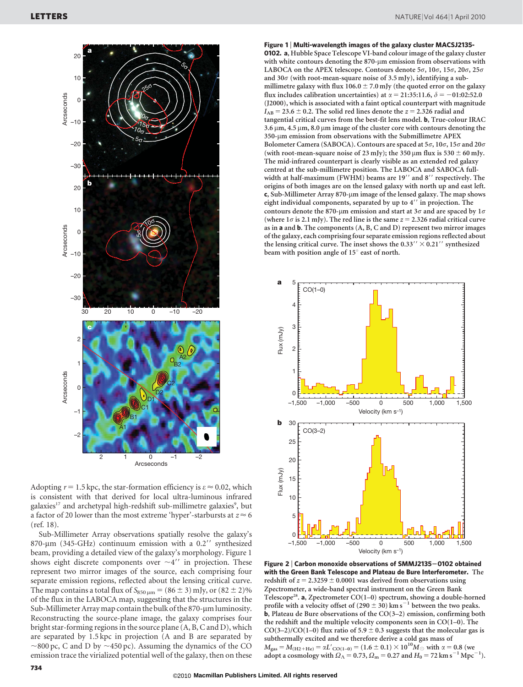

Adopting  $r = 1.5$  kpc, the star-formation efficiency is  $\varepsilon \approx 0.02$ , which is consistent with that derived for local ultra-luminous infrared galaxies<sup>17</sup> and archetypal high-redshift sub-millimetre galaxies<sup>9</sup>, but a factor of 20 lower than the most extreme 'hyper'-starbursts at  $z \approx 6$ (ref. 18).

Sub-Millimeter Array observations spatially resolve the galaxy's 870- $\mu$ m (345-GHz) continuum emission with a 0.2 $^{\prime\prime}$  synthesized beam, providing a detailed view of the galaxy's morphology. Figure 1 shows eight discrete components over  $\sim 4''$  in projection. These represent two mirror images of the source, each comprising four separate emission regions, reflected about the lensing critical curve. The map contains a total flux of  $S_{850 \text{ nm}} = (86 \pm 3)$  mJy, or  $(82 \pm 2)\%$ of the flux in the LABOCA map, suggesting that the structures in the Sub-Millimeter Array map contain the bulk of the 870-µm luminosity. Reconstructing the source-plane image, the galaxy comprises four bright star-forming regions in the source plane (A, B, C and D), which are separated by 1.5 kpc in projection (A and B are separated by  $\sim$ 800 pc, C and D by  $\sim$ 450 pc). Assuming the dynamics of the CO emission trace the virialized potential well of the galaxy, then on these

Figure 1 <sup>|</sup> Multi-wavelength images of the galaxy cluster MACSJ2135- 0102. a, Hubble Space Telescope VI-band colour image of the galaxy cluster with white contours denoting the 870-um emission from observations with LABOCA on the APEX telescope. Contours denote  $5\sigma$ ,  $10\sigma$ ,  $15\sigma$ ,  $20\sigma$ ,  $25\sigma$ and 30 $\sigma$  (with root-mean-square noise of 3.5 mJy), identifying a submillimetre galaxy with flux  $106.0 \pm 7.0$  mJy (the quoted error on the galaxy flux includes calibration uncertainties) at  $\alpha = 21:35:11.6, \delta = -01:02:52.0$ (J2000), which is associated with a faint optical counterpart with magnitude  $I_{AB} = 23.6 \pm 0.2$ . The solid red lines denote the  $z = 2.326$  radial and tangential critical curves from the best-fit lens model. b, True-colour IRAC  $3.6 \,\mu$ m,  $4.5 \,\mu$ m,  $8.0 \,\mu$ m image of the cluster core with contours denoting the 350-µm emission from observations with the Submillimetre APEX Bolometer Camera (SABOCA). Contours are spaced at  $5\sigma$ ,  $10\sigma$ ,  $15\sigma$  and  $20\sigma$ (with root-mean-square noise of 23 mJy); the 350  $\mu$ m flux is 530  $\pm$  60 mJy. The mid-infrared counterpart is clearly visible as an extended red galaxy centred at the sub-millimetre position. The LABOCA and SABOCA fullwidth at half-maximum (FWHM) beams are 19" and 8" respectively. The origins of both images are on the lensed galaxy with north up and east left. c, Sub-Millimeter Array 870-µm image of the lensed galaxy. The map shows eight individual components, separated by up to  $4''$  in projection. The contours denote the 870-µm emission and start at 3 $\sigma$  and are spaced by 1 $\sigma$ (where  $1\sigma$  is 2.1 mJy). The red line is the same  $z = 2.326$  radial critical curve as in a and b. The components (A, B, C and D) represent two mirror images of the galaxy, each comprising four separate emission regions reflected about the lensing critical curve. The inset shows the  $0.33'' \times 0.21''$  synthesized beam with position angle of 15<sup>°</sup> east of north.



Figure 2 | Carbon monoxide observations of SMMJ2135-0102 obtained with the Green Bank Telescope and Plateau de Bure Interferometer. The redshift of  $z = 2.3259 \pm 0.0001$  was derived from observations using Zpectrometer, a wide-band spectral instrument on the Green Bank Telescope<sup>28</sup>. a, Zpectrometer CO(1–0) spectrum, showing a double-horned profile with a velocity offset of  $(290 \pm 30)$  km s<sup>-1</sup> between the two peaks. **b**, Plateau de Bure observations of the  $CO(3-2)$  emission, confirming both the redshift and the multiple velocity components seen in CO(1–0). The CO(3–2)/CO(1–0) flux ratio of 5.9  $\pm$  0.3 suggests that the molecular gas is subthermally excited and we therefore derive a cold gas mass of  $M_{\text{gas}} = M_{\text{(H2+He)}} = \alpha L'_{\text{CO(1-0)}} = (1.6 \pm 0.1) \times 10^{10} M_{\odot}$  with  $\alpha = 0.8$  (we adopt a cosmology with  $\Omega_{\Lambda} = 0.73$ ,  $\Omega_{\rm m} = 0.27$  and  $H_0 = 72$  km s<sup>-1</sup> Mpc<sup>-1</sup>).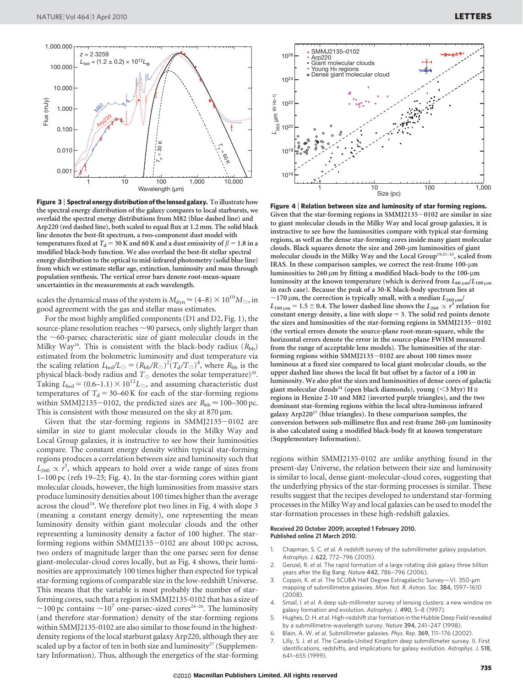

Figure 3 | Spectral energy distribution of the lensed galaxy. To illustrate how the spectral energy distribution of the galaxy compares to local starbursts, we overlaid the spectral energy distributions from M82 (blue dashed line) and Arp220 (red dashed line), both scaled to equal flux at 1.2 mm. The solid black line denotes the best-fit spectrum, a two-component dust model with temperatures fixed at  $T_{\rm d}$  = 30 K and 60 K and a dust emissivity of  $\beta$  = 1.8 in a modified black-body function. We also overlaid the best-fit stellar spectral energy distribution to the optical to mid-infrared photometry (solid blue line) from which we estimate stellar age, extinction, luminosity and mass through population synthesis. The vertical error bars denote root-mean-square uncertainties in the measurements at each wavelength.

scales the dynamical mass of the system is  $M_{\text{dyn}} \approx (4-8) \times 10^{10} M_{\odot}$ , in good agreement with the gas and stellar mass estimates.

For the most highly amplified components (D1 and D2, Fig. 1), the source-plane resolution reaches  $\sim$ 90 parsecs, only slightly larger than the  $\sim$ 60-parsec characteristic size of giant molecular clouds in the Milky Way<sup>19</sup>. This is consistent with the black-body radius  $(R_{bb})$ estimated from the bolometric luminosity and dust temperature via the scaling relation  $L_{\text{bol}}/L_{\odot} = (R_{\text{bb}}/R_{\odot})^2 (T_{\text{d}}/T_{\odot})^4$ , where  $R_{\text{bb}}$  is the physical black-body radius and  $T_{\odot}$  denotes the solar temperature)<sup>20</sup>. Taking  $L_{\text{bol}} = (0.6-1.1) \times 10^{12} L_{\odot}$ , and assuming characteristic dust temperatures of  $T<sub>d</sub>$  = 30–60 K for each of the star-forming regions within SMMJ2135-0102, the predicted sizes are  $R_{\rm bb} \approx 100-300$  pc. This is consistent with those measured on the sky at  $870 \,\mu m$ .

Given that the star-forming regions in  $SMMJ2135-0102$  are similar in size to giant molecular clouds in the Milky Way and Local Group galaxies, it is instructive to see how their luminosities compare. The constant energy density within typical star-forming regions produces a correlation between size and luminosity such that  $L_{260} \propto r^3$ , which appears to hold over a wide range of sizes from 1–100 pc (refs 19–23; Fig. 4). In the star-forming cores within giant molecular clouds, however, the high luminosities from massive stars produce luminosity densities about 100 times higher than the average across the cloud<sup>24</sup>. We therefore plot two lines in Fig. 4 with slope 3 (meaning a constant energy density), one representing the mean luminosity density within giant molecular clouds and the other representing a luminosity density a factor of 100 higher. The starforming regions within  $SMMJ2135-0102$  are about 100 pc across, two orders of magnitude larger than the one parsec seen for dense giant-molecular-cloud cores locally, but as Fig. 4 shows, their luminosities are approximately 100 times higher than expected for typical star-forming regions of comparable size in the low-redshift Universe. This means that the variable is most probably the number of starforming cores, such that a region in SMMJ2135-0102 that has a size of  $\sim$ 100 pc contains  $\sim$ 10<sup>7</sup> one-parsec-sized cores<sup>24–26</sup>. The luminosity (and therefore star-formation) density of the star-forming regions within SMMJ2135-0102 are also similar to those found in the highestdensity regions of the local starburst galaxy Arp220, although they are scaled up by a factor of ten in both size and luminosity<sup>27</sup> (Supplementary Information). Thus, although the energetics of the star-forming



Figure 4 <sup>|</sup> Relation between size and luminosity of star forming regions. Given that the star-forming regions in  $SMM$ ]2135 $-0102$  are similar in size to giant molecular clouds in the Milky Way and local group galaxies, it is instructive to see how the luminosities compare with typical star-forming regions, as well as the dense star-forming cores inside many giant molecular clouds. Black squares denote the size and 260-um luminosities of giant molecular clouds in the Milky Way and the Local Group<sup>19,21–23</sup>, scaled from IRAS. In these comparison samples, we correct the rest-frame 100-µm luminosities to  $260 \mu m$  by fitting a modified black-body to the  $100 \mu m$ luminosity at the known temperature (which is derived from  $L_{60 \mu m}/L_{100 \mu m}$ in each case). Because the peak of a 30-K black-body spectrum lies at  $\sim$ 170 µm, the correction is typically small, with a median  $L_{260 \mu m}$ /  $L_{100\,\mu\mathrm{m}}$  = 1.5  $\pm$  0.4. The lower dashed line shows the  $L_{260}\propto r^3$  relation for constant energy density, a line with slope  $= 3$ . The solid red points denote the sizes and luminosities of the star-forming regions in  $SMM$ [2135-0102 (the vertical errors denote the source-plane root-mean-square, while the horizontal errors denote the error in the source-plane FWHM measured from the range of acceptable lens models). The luminosities of the starforming regions within SMMJ2135 $-0102$  are about 100 times more luminous at a fixed size compared to local giant molecular clouds, so the upper dashed line shows the local fit but offset by a factor of a 100 in luminosity. We also plot the sizes and luminosities of dense cores of galactic giant molecular clouds<sup>24</sup> (open black diamonds), young  $(<3$  Myr) H II regions in Henize 2-10 and M82 (inverted purple triangles), and the two dominant star-forming regions within the local ultra-luminous infrared galaxy Arp220<sup>27</sup> (blue triangles). In these comparison samples, the conversion between sub-millimetre flux and rest-frame 260-µm luminosity is also calculated using a modified black-body fit at known temperature (Supplementary Information).

regions within SMMJ2135-0102 are unlike anything found in the present-day Universe, the relation between their size and luminosity is similar to local, dense giant-molecular-cloud cores, suggesting that the underlying physics of the star-forming processes is similar. These results suggest that the recipes developed to understand star-forming processes in the Milky Way and local galaxies can be used to model the star-formation processes in these high-redshift galaxies.

## Received 20 October 2009; accepted 1 February 2010. Published online 21 March 2010.

- 1. Chapman, S. C. et al. A redshift survey of the submillimeter galaxy population. Astrophys. J. 622, 772–796 (2005).
- 2. Genzel, R. et al. The rapid formation of a large rotating disk galaxy three billion years after the Big Bang. Nature 442, 786–796 (2006).
- 3. Coppin, K. et al. The SCUBA Half Degree Extragalactic Survey-VI. 350-µm mapping of submillimetre galaxies. Mon. Not. R. Astron. Soc. 384, 1597–1610  $(2008)$
- 4. Smail, I. et al. A deep sub-millimeter survey of lensing clusters: a new window on galaxy formation and evolution. Astrophys. J. 490, 5–8 (1997).
- 5. Hughes, D. H. et al. High-redshift star formation in the Hubble Deep Field revealed by a submillimetre-wavelength survey. Nature 394, 241–247 (1998).
- 6. Blain, A. W. et al. Submillimeter galaxies. Phys. Rep. 369, 111–176 (2002).
- Lilly, S. J. et al. The Canada-United Kingdom deep submillimeter survey. II. First identifications, redshifts, and implications for galaxy evolution. Astrophys. J. 518, 641–655 (1999).